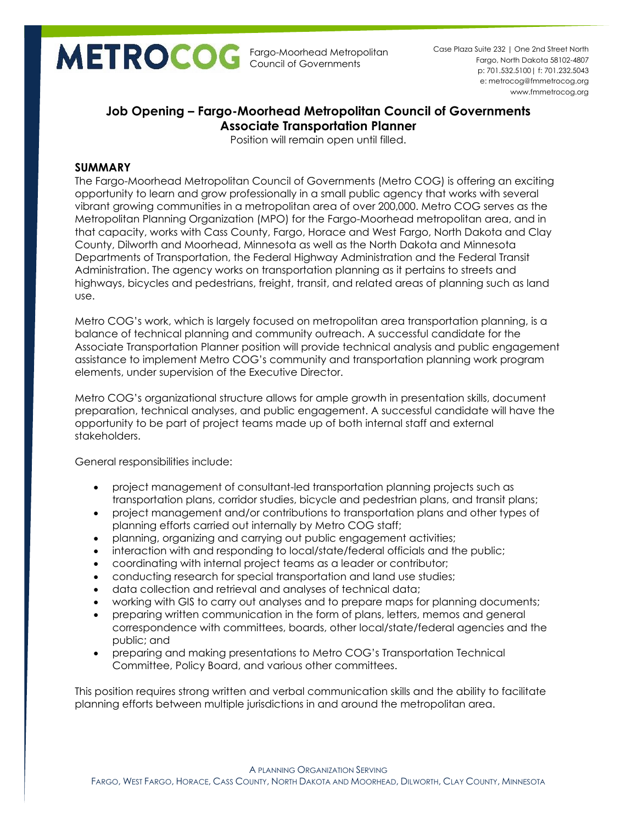Fargo-Moorhead Metropolitan Council of Governments

p: 701.532.5100| f: 701.232.5043 e: metrocog@fmmetrocog.org www.fmmetrocog.org Case Plaza Suite 232 | One 2nd Street North Fargo, North Dakota 58102-4807

# **Job Opening – Fargo-Moorhead Metropolitan Council of Governments Associate Transportation Planner**

Position will remain open until filled.

## **SUMMARY**

The Fargo-Moorhead Metropolitan Council of Governments (Metro COG) is offering an exciting opportunity to learn and grow professionally in a small public agency that works with several vibrant growing communities in a metropolitan area of over 200,000. Metro COG serves as the Metropolitan Planning Organization (MPO) for the Fargo-Moorhead metropolitan area, and in that capacity, works with Cass County, Fargo, Horace and West Fargo, North Dakota and Clay County, Dilworth and Moorhead, Minnesota as well as the North Dakota and Minnesota Departments of Transportation, the Federal Highway Administration and the Federal Transit Administration. The agency works on transportation planning as it pertains to streets and highways, bicycles and pedestrians, freight, transit, and related areas of planning such as land use.

Metro COG's work, which is largely focused on metropolitan area transportation planning, is a balance of technical planning and community outreach. A successful candidate for the Associate Transportation Planner position will provide technical analysis and public engagement assistance to implement Metro COG's community and transportation planning work program elements, under supervision of the Executive Director.

Metro COG's organizational structure allows for ample growth in presentation skills, document preparation, technical analyses, and public engagement. A successful candidate will have the opportunity to be part of project teams made up of both internal staff and external stakeholders.

General responsibilities include:

- project management of consultant-led transportation planning projects such as transportation plans, corridor studies, bicycle and pedestrian plans, and transit plans;
- project management and/or contributions to transportation plans and other types of planning efforts carried out internally by Metro COG staff;
- planning, organizing and carrying out public engagement activities;
- interaction with and responding to local/state/federal officials and the public;
- coordinating with internal project teams as a leader or contributor;
- conducting research for special transportation and land use studies;
- data collection and retrieval and analyses of technical data;
- working with GIS to carry out analyses and to prepare maps for planning documents;
- preparing written communication in the form of plans, letters, memos and general correspondence with committees, boards, other local/state/federal agencies and the public; and
- preparing and making presentations to Metro COG's Transportation Technical Committee, Policy Board, and various other committees.

This position requires strong written and verbal communication skills and the ability to facilitate planning efforts between multiple jurisdictions in and around the metropolitan area.